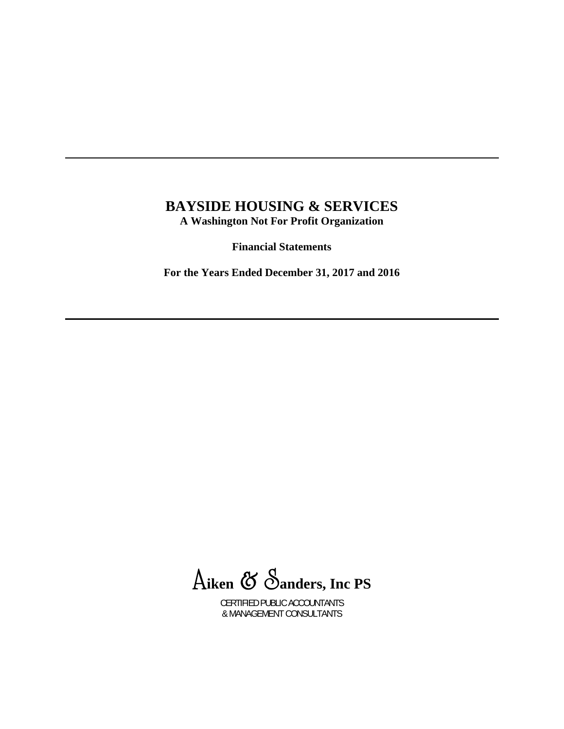# **BAYSIDE HOUSING & SERVICES A Washington Not For Profit Organization**

**Financial Statements** 

**For the Years Ended December 31, 2017 and 2016** 

A**iken** & S**anders, Inc PS**

CERTIFIED PUBLIC ACCOUNTANTS & MANAGEMENT CONSULTANTS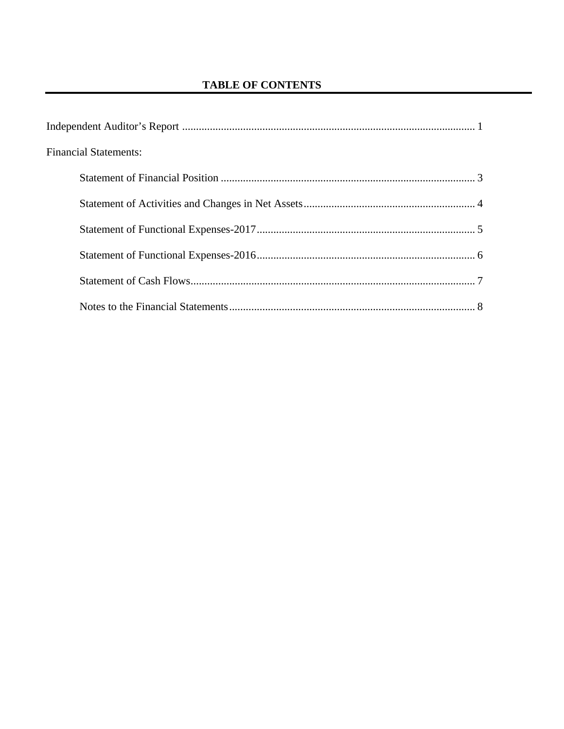| <b>Financial Statements:</b> |  |
|------------------------------|--|
|                              |  |
|                              |  |
|                              |  |
|                              |  |
|                              |  |
|                              |  |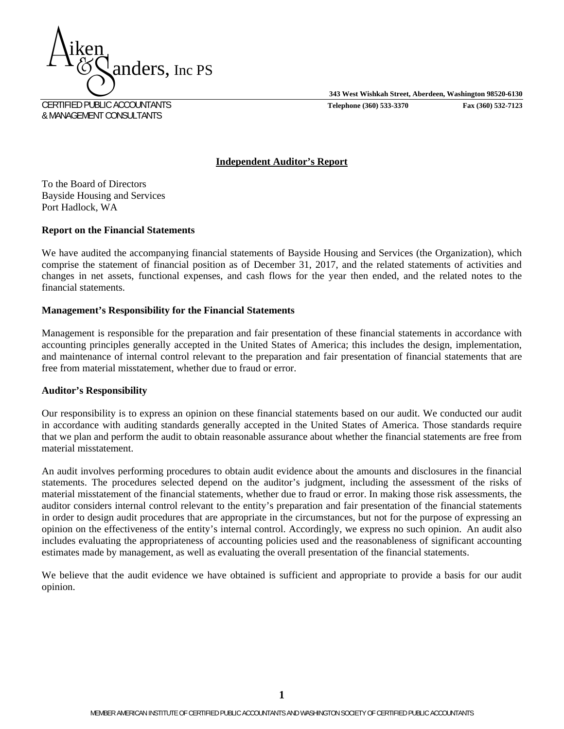

 **343 West Wishkah Street, Aberdeen, Washington 98520-6130**

CERTIFIED PUBLIC ACCOUNTANTS **Telephone (360) 533-3370 Fax (360) 532-7123**  & MANAGEMENT CONSULTANTS

#### **Independent Auditor's Report**

To the Board of Directors Bayside Housing and Services Port Hadlock, WA

#### **Report on the Financial Statements**

We have audited the accompanying financial statements of Bayside Housing and Services (the Organization), which comprise the statement of financial position as of December 31, 2017, and the related statements of activities and changes in net assets, functional expenses, and cash flows for the year then ended, and the related notes to the financial statements.

#### **Management's Responsibility for the Financial Statements**

Management is responsible for the preparation and fair presentation of these financial statements in accordance with accounting principles generally accepted in the United States of America; this includes the design, implementation, and maintenance of internal control relevant to the preparation and fair presentation of financial statements that are free from material misstatement, whether due to fraud or error.

#### **Auditor's Responsibility**

Our responsibility is to express an opinion on these financial statements based on our audit. We conducted our audit in accordance with auditing standards generally accepted in the United States of America. Those standards require that we plan and perform the audit to obtain reasonable assurance about whether the financial statements are free from material misstatement.

An audit involves performing procedures to obtain audit evidence about the amounts and disclosures in the financial statements. The procedures selected depend on the auditor's judgment, including the assessment of the risks of material misstatement of the financial statements, whether due to fraud or error. In making those risk assessments, the auditor considers internal control relevant to the entity's preparation and fair presentation of the financial statements in order to design audit procedures that are appropriate in the circumstances, but not for the purpose of expressing an opinion on the effectiveness of the entity's internal control. Accordingly, we express no such opinion. An audit also includes evaluating the appropriateness of accounting policies used and the reasonableness of significant accounting estimates made by management, as well as evaluating the overall presentation of the financial statements.

We believe that the audit evidence we have obtained is sufficient and appropriate to provide a basis for our audit opinion.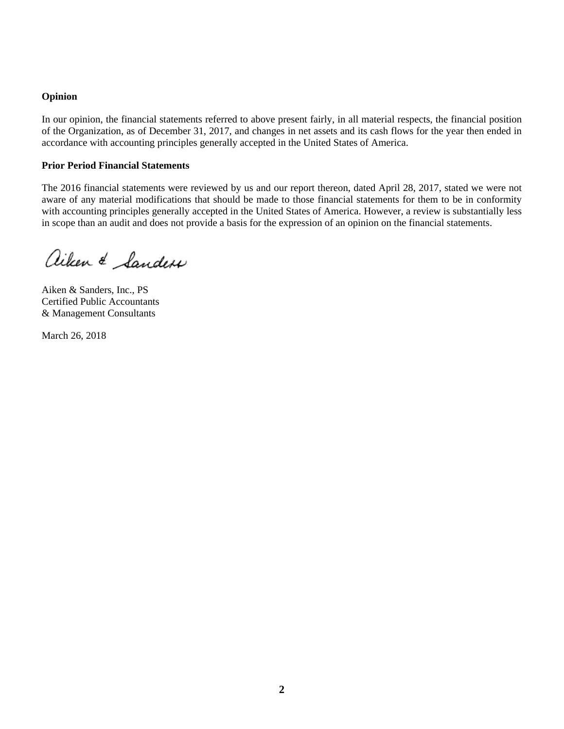#### **Opinion**

In our opinion, the financial statements referred to above present fairly, in all material respects, the financial position of the Organization, as of December 31, 2017, and changes in net assets and its cash flows for the year then ended in accordance with accounting principles generally accepted in the United States of America.

#### **Prior Period Financial Statements**

The 2016 financial statements were reviewed by us and our report thereon, dated April 28, 2017, stated we were not aware of any material modifications that should be made to those financial statements for them to be in conformity with accounting principles generally accepted in the United States of America. However, a review is substantially less in scope than an audit and does not provide a basis for the expression of an opinion on the financial statements.

aiken & Sanders

Aiken & Sanders, Inc., PS Certified Public Accountants & Management Consultants

March 26, 2018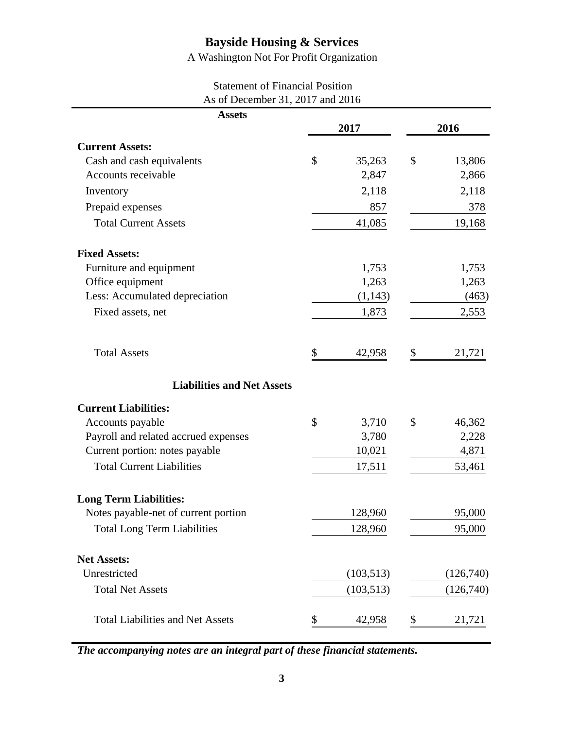A Washington Not For Profit Organization

| <b>Statement of Financial Position</b> |
|----------------------------------------|
| As of December 31, 2017 and 2016       |

| <b>Assets</b>                           |              |               |           |
|-----------------------------------------|--------------|---------------|-----------|
|                                         | 2017         |               | 2016      |
| <b>Current Assets:</b>                  |              |               |           |
| Cash and cash equivalents               | \$<br>35,263 | $\mathcal{S}$ | 13,806    |
| Accounts receivable                     | 2,847        |               | 2,866     |
| Inventory                               | 2,118        |               | 2,118     |
| Prepaid expenses                        | 857          |               | 378       |
| <b>Total Current Assets</b>             | 41,085       |               | 19,168    |
| <b>Fixed Assets:</b>                    |              |               |           |
| Furniture and equipment                 | 1,753        |               | 1,753     |
| Office equipment                        | 1,263        |               | 1,263     |
| Less: Accumulated depreciation          | (1, 143)     |               | (463)     |
| Fixed assets, net                       | 1,873        |               | 2,553     |
| <b>Total Assets</b>                     | \$<br>42,958 | \$            | 21,721    |
| <b>Liabilities and Net Assets</b>       |              |               |           |
| <b>Current Liabilities:</b>             |              |               |           |
| Accounts payable                        | \$<br>3,710  | $\mathcal{S}$ | 46,362    |
| Payroll and related accrued expenses    | 3,780        |               | 2,228     |
| Current portion: notes payable          | 10,021       |               | 4,871     |
| <b>Total Current Liabilities</b>        | 17,511       |               | 53,461    |
| <b>Long Term Liabilities:</b>           |              |               |           |
| Notes payable-net of current portion    | 128,960      |               | 95,000    |
| <b>Total Long Term Liabilities</b>      | 128,960      |               | 95,000    |
| <b>Net Assets:</b>                      |              |               |           |
| Unrestricted                            | (103, 513)   |               | (126,740) |
| <b>Total Net Assets</b>                 | (103, 513)   |               | (126,740) |
| <b>Total Liabilities and Net Assets</b> | \$<br>42,958 | \$            | 21,721    |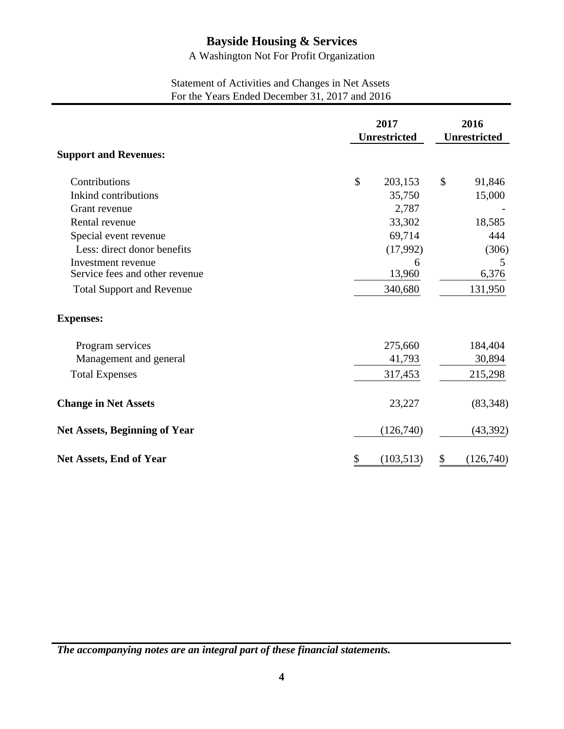A Washington Not For Profit Organization

# Statement of Activities and Changes in Net Assets For the Years Ended December 31, 2017 and 2016

|                                                      | 2017<br><b>Unrestricted</b> |               | 2016<br><b>Unrestricted</b> |
|------------------------------------------------------|-----------------------------|---------------|-----------------------------|
| <b>Support and Revenues:</b>                         |                             |               |                             |
| Contributions                                        | \$<br>203,153               | $\mathcal{S}$ | 91,846                      |
| Inkind contributions                                 | 35,750                      |               | 15,000                      |
| Grant revenue                                        | 2,787                       |               |                             |
| Rental revenue                                       | 33,302                      |               | 18,585                      |
| Special event revenue                                | 69,714                      |               | 444                         |
| Less: direct donor benefits                          | (17,992)                    |               | (306)                       |
| Investment revenue<br>Service fees and other revenue | 6<br>13,960                 |               | 5<br>6,376                  |
| <b>Total Support and Revenue</b>                     | 340,680                     |               | 131,950                     |
| <b>Expenses:</b>                                     |                             |               |                             |
| Program services                                     | 275,660                     |               | 184,404                     |
| Management and general                               | 41,793                      |               | 30,894                      |
| <b>Total Expenses</b>                                | 317,453                     |               | 215,298                     |
| <b>Change in Net Assets</b>                          | 23,227                      |               | (83, 348)                   |
| <b>Net Assets, Beginning of Year</b>                 | (126,740)                   |               | (43,392)                    |
| <b>Net Assets, End of Year</b>                       | \$<br>(103, 513)            | \$            | (126,740)                   |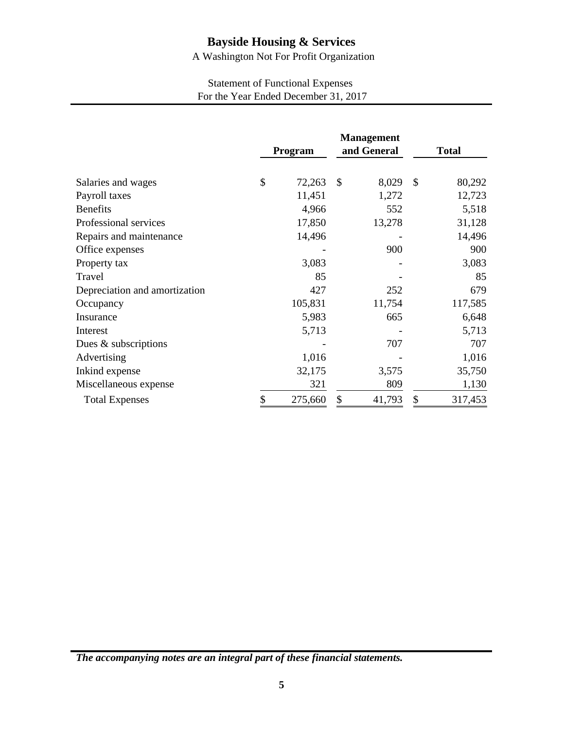A Washington Not For Profit Organization

# Statement of Functional Expenses For the Year Ended December 31, 2017

|                               | Program |         | <b>Management</b><br>and General |        | <b>Total</b> |         |
|-------------------------------|---------|---------|----------------------------------|--------|--------------|---------|
|                               |         |         |                                  |        |              |         |
| Salaries and wages            | \$      | 72,263  | \$                               | 8,029  | \$           | 80,292  |
| Payroll taxes                 |         | 11,451  |                                  | 1,272  |              | 12,723  |
| <b>Benefits</b>               |         | 4,966   |                                  | 552    |              | 5,518   |
| Professional services         |         | 17,850  | 13,278                           |        |              | 31,128  |
| Repairs and maintenance       |         | 14,496  |                                  |        |              | 14,496  |
| Office expenses               |         |         |                                  | 900    |              | 900     |
| Property tax                  |         | 3,083   |                                  |        |              | 3,083   |
| Travel                        |         | 85      |                                  |        |              | 85      |
| Depreciation and amortization |         | 427     |                                  | 252    |              | 679     |
| Occupancy                     |         | 105,831 |                                  | 11,754 |              | 117,585 |
| Insurance                     |         | 5,983   |                                  | 665    |              | 6,648   |
| Interest                      |         | 5,713   |                                  |        |              | 5,713   |
| Dues $&$ subscriptions        |         |         |                                  | 707    |              | 707     |
| Advertising                   |         | 1,016   |                                  |        |              | 1,016   |
| Inkind expense                |         | 32,175  |                                  | 3,575  |              | 35,750  |
| Miscellaneous expense         |         | 321     |                                  | 809    |              | 1,130   |
| <b>Total Expenses</b>         | \$      | 275,660 | \$                               | 41,793 | \$           | 317,453 |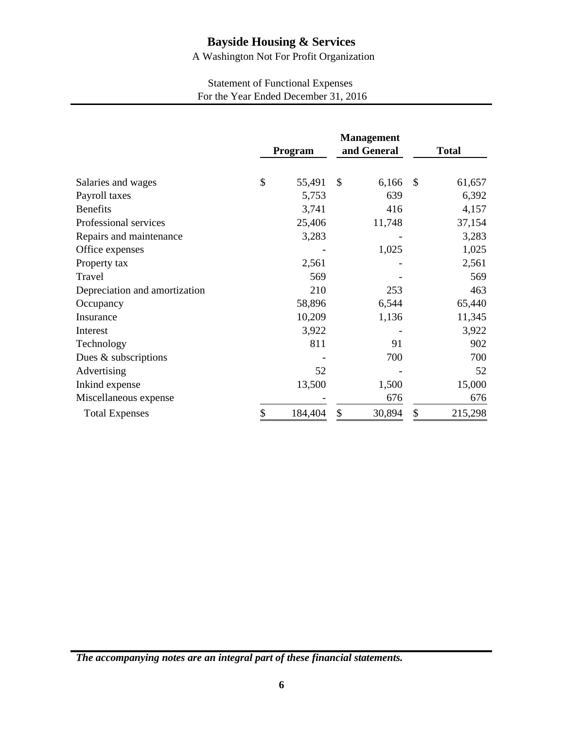A Washington Not For Profit Organization

# Statement of Functional Expenses For the Year Ended December 31, 2016

|                               | Program |         | <b>Management</b><br>and General |        | <b>Total</b> |         |
|-------------------------------|---------|---------|----------------------------------|--------|--------------|---------|
| Salaries and wages            | \$      | 55,491  | \$                               | 6,166  | \$           | 61,657  |
| Payroll taxes                 |         | 5,753   |                                  | 639    |              | 6,392   |
| <b>Benefits</b>               |         | 3,741   |                                  | 416    |              | 4,157   |
| Professional services         |         | 25,406  |                                  | 11,748 |              | 37,154  |
| Repairs and maintenance       |         | 3,283   |                                  |        |              | 3,283   |
| Office expenses               |         |         |                                  | 1,025  |              | 1,025   |
| Property tax                  |         | 2,561   |                                  |        |              | 2,561   |
| Travel                        |         | 569     |                                  |        |              | 569     |
| Depreciation and amortization |         | 210     |                                  | 253    |              | 463     |
| Occupancy                     |         | 58,896  |                                  | 6,544  |              | 65,440  |
| Insurance                     |         | 10,209  |                                  | 1,136  |              | 11,345  |
| Interest                      |         | 3,922   |                                  |        |              | 3,922   |
| Technology                    |         | 811     |                                  | 91     |              | 902     |
| Dues & subscriptions          |         |         |                                  | 700    |              | 700     |
| Advertising                   |         | 52      |                                  |        |              | 52      |
| Inkind expense                |         | 13,500  |                                  | 1,500  |              | 15,000  |
| Miscellaneous expense         |         |         |                                  | 676    |              | 676     |
| <b>Total Expenses</b>         | \$      | 184,404 | \$                               | 30,894 | \$           | 215,298 |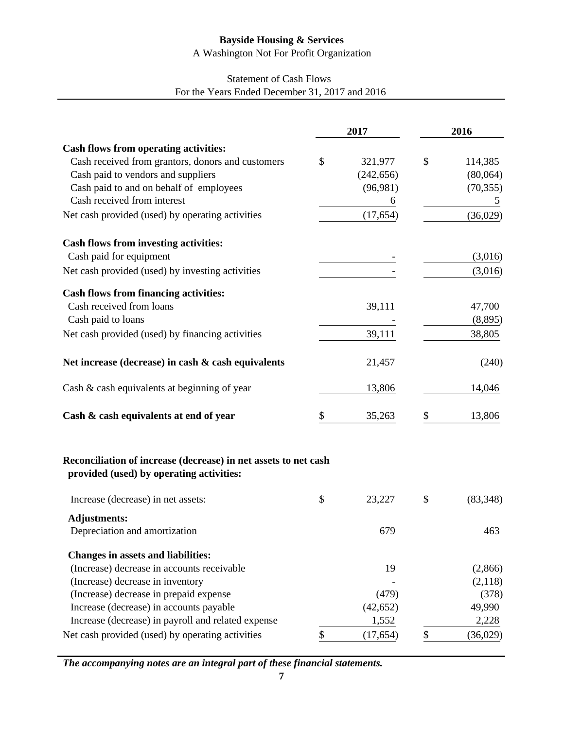A Washington Not For Profit Organization

# Statement of Cash Flows For the Years Ended December 31, 2017 and 2016

|                                                                                                             | 2017            | 2016            |
|-------------------------------------------------------------------------------------------------------------|-----------------|-----------------|
| <b>Cash flows from operating activities:</b>                                                                |                 |                 |
| Cash received from grantors, donors and customers                                                           | \$<br>321,977   | \$<br>114,385   |
| Cash paid to vendors and suppliers                                                                          | (242, 656)      | (80,064)        |
| Cash paid to and on behalf of employees                                                                     | (96, 981)       | (70, 355)       |
| Cash received from interest                                                                                 | 6               | 5               |
| Net cash provided (used) by operating activities                                                            | (17, 654)       | (36,029)        |
| <b>Cash flows from investing activities:</b>                                                                |                 |                 |
| Cash paid for equipment                                                                                     |                 | (3,016)         |
| Net cash provided (used) by investing activities                                                            |                 | (3,016)         |
| <b>Cash flows from financing activities:</b>                                                                |                 |                 |
| Cash received from loans                                                                                    | 39,111          | 47,700          |
| Cash paid to loans                                                                                          |                 | (8,895)         |
| Net cash provided (used) by financing activities                                                            | 39,111          | 38,805          |
| Net increase (decrease) in cash & cash equivalents                                                          | 21,457          | (240)           |
| Cash & cash equivalents at beginning of year                                                                | 13,806          | 14,046          |
| Cash & cash equivalents at end of year                                                                      | \$<br>35,263    | \$<br>13,806    |
| Reconciliation of increase (decrease) in net assets to net cash<br>provided (used) by operating activities: |                 |                 |
| Increase (decrease) in net assets:                                                                          | \$<br>23,227    | \$<br>(83, 348) |
| <b>Adjustments:</b>                                                                                         |                 |                 |
| Depreciation and amortization                                                                               | 679             | 463             |
| <b>Changes in assets and liabilities:</b>                                                                   |                 |                 |
| (Increase) decrease in accounts receivable                                                                  | 19              | (2,866)         |
| (Increase) decrease in inventory                                                                            |                 | (2,118)         |
| (Increase) decrease in prepaid expense                                                                      | (479)           | (378)           |
| Increase (decrease) in accounts payable                                                                     | (42, 652)       | 49,990          |
| Increase (decrease) in payroll and related expense                                                          | 1,552           | 2,228           |
| Net cash provided (used) by operating activities                                                            | \$<br>(17, 654) | \$<br>(36,029)  |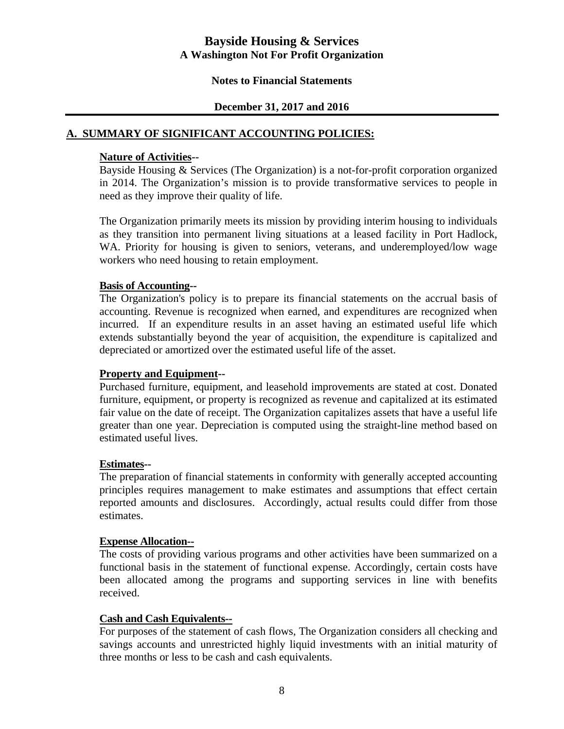#### **Notes to Financial Statements**

### **December 31, 2017 and 2016**

## **A. SUMMARY OF SIGNIFICANT ACCOUNTING POLICIES:**

#### **Nature of Activities--**

 Bayside Housing & Services (The Organization) is a not-for-profit corporation organized in 2014. The Organization's mission is to provide transformative services to people in need as they improve their quality of life.

 The Organization primarily meets its mission by providing interim housing to individuals as they transition into permanent living situations at a leased facility in Port Hadlock, WA. Priority for housing is given to seniors, veterans, and underemployed/low wage workers who need housing to retain employment.

### **Basis of Accounting--**

 The Organization's policy is to prepare its financial statements on the accrual basis of accounting. Revenue is recognized when earned, and expenditures are recognized when incurred. If an expenditure results in an asset having an estimated useful life which extends substantially beyond the year of acquisition, the expenditure is capitalized and depreciated or amortized over the estimated useful life of the asset.

#### **Property and Equipment--**

 Purchased furniture, equipment, and leasehold improvements are stated at cost. Donated furniture, equipment, or property is recognized as revenue and capitalized at its estimated fair value on the date of receipt. The Organization capitalizes assets that have a useful life greater than one year. Depreciation is computed using the straight-line method based on estimated useful lives.

#### **Estimates--**

 The preparation of financial statements in conformity with generally accepted accounting principles requires management to make estimates and assumptions that effect certain reported amounts and disclosures. Accordingly, actual results could differ from those estimates.

#### **Expense Allocation--**

 The costs of providing various programs and other activities have been summarized on a functional basis in the statement of functional expense. Accordingly, certain costs have been allocated among the programs and supporting services in line with benefits received.

#### **Cash and Cash Equivalents--**

 For purposes of the statement of cash flows, The Organization considers all checking and savings accounts and unrestricted highly liquid investments with an initial maturity of three months or less to be cash and cash equivalents.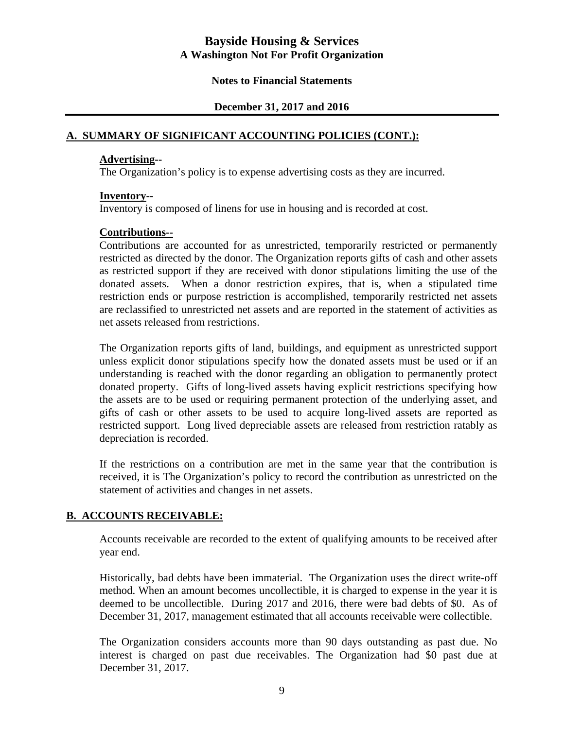#### **Notes to Financial Statements**

### **December 31, 2017 and 2016**

### **A. SUMMARY OF SIGNIFICANT ACCOUNTING POLICIES (CONT.):**

#### **Advertising--**

The Organization's policy is to expense advertising costs as they are incurred.

#### **Inventory--**

Inventory is composed of linens for use in housing and is recorded at cost.

### **Contributions--**

 Contributions are accounted for as unrestricted, temporarily restricted or permanently restricted as directed by the donor. The Organization reports gifts of cash and other assets as restricted support if they are received with donor stipulations limiting the use of the donated assets. When a donor restriction expires, that is, when a stipulated time restriction ends or purpose restriction is accomplished, temporarily restricted net assets are reclassified to unrestricted net assets and are reported in the statement of activities as net assets released from restrictions.

 The Organization reports gifts of land, buildings, and equipment as unrestricted support unless explicit donor stipulations specify how the donated assets must be used or if an understanding is reached with the donor regarding an obligation to permanently protect donated property. Gifts of long-lived assets having explicit restrictions specifying how the assets are to be used or requiring permanent protection of the underlying asset, and gifts of cash or other assets to be used to acquire long-lived assets are reported as restricted support. Long lived depreciable assets are released from restriction ratably as depreciation is recorded.

 If the restrictions on a contribution are met in the same year that the contribution is received, it is The Organization's policy to record the contribution as unrestricted on the statement of activities and changes in net assets.

# **B. ACCOUNTS RECEIVABLE:**

Accounts receivable are recorded to the extent of qualifying amounts to be received after year end.

Historically, bad debts have been immaterial. The Organization uses the direct write-off method. When an amount becomes uncollectible, it is charged to expense in the year it is deemed to be uncollectible. During 2017 and 2016, there were bad debts of \$0. As of December 31, 2017, management estimated that all accounts receivable were collectible.

The Organization considers accounts more than 90 days outstanding as past due. No interest is charged on past due receivables. The Organization had \$0 past due at December 31, 2017.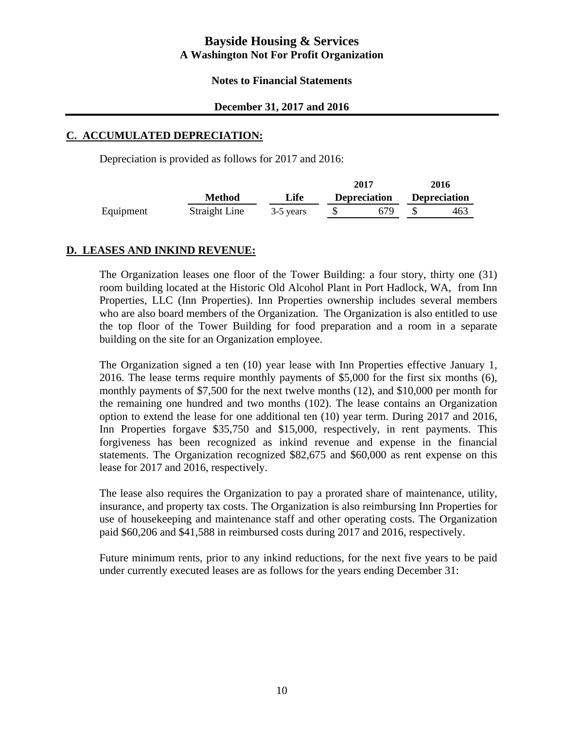#### **Notes to Financial Statements**

#### **December 31, 2017 and 2016**

# **C. ACCUMULATED DEPRECIATION:**

Depreciation is provided as follows for 2017 and 2016:

|           |               |           | 2017                | 2016                |
|-----------|---------------|-----------|---------------------|---------------------|
|           | <b>Method</b> | Life      | <b>Depreciation</b> | <b>Depreciation</b> |
| Equipment | Straight Line | 3-5 years |                     | 463                 |

# **D. LEASES AND INKIND REVENUE:**

The Organization leases one floor of the Tower Building: a four story, thirty one (31) room building located at the Historic Old Alcohol Plant in Port Hadlock, WA, from Inn Properties, LLC (Inn Properties). Inn Properties ownership includes several members who are also board members of the Organization. The Organization is also entitled to use the top floor of the Tower Building for food preparation and a room in a separate building on the site for an Organization employee.

The Organization signed a ten (10) year lease with Inn Properties effective January 1, 2016. The lease terms require monthly payments of \$5,000 for the first six months (6), monthly payments of \$7,500 for the next twelve months (12), and \$10,000 per month for the remaining one hundred and two months (102). The lease contains an Organization option to extend the lease for one additional ten (10) year term. During 2017 and 2016, Inn Properties forgave \$35,750 and \$15,000, respectively, in rent payments. This forgiveness has been recognized as inkind revenue and expense in the financial statements. The Organization recognized \$82,675 and \$60,000 as rent expense on this lease for 2017 and 2016, respectively.

The lease also requires the Organization to pay a prorated share of maintenance, utility, insurance, and property tax costs. The Organization is also reimbursing Inn Properties for use of housekeeping and maintenance staff and other operating costs. The Organization paid \$60,206 and \$41,588 in reimbursed costs during 2017 and 2016, respectively.

Future minimum rents, prior to any inkind reductions, for the next five years to be paid under currently executed leases are as follows for the years ending December 31: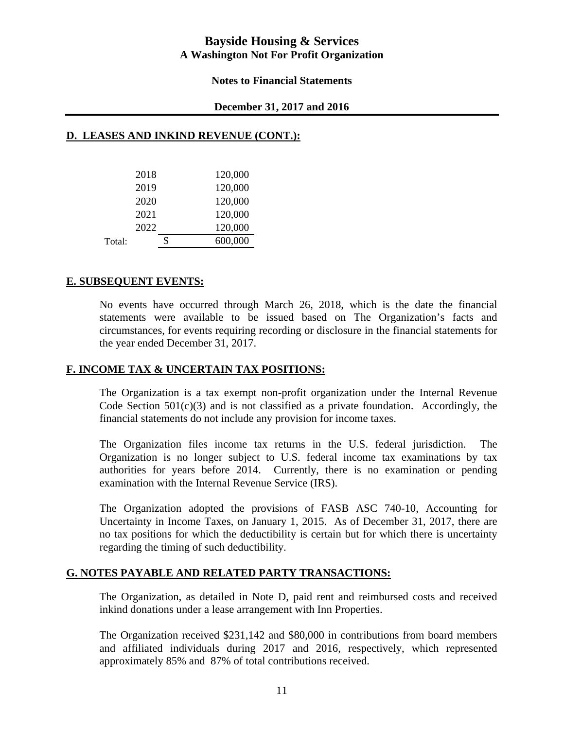#### **Notes to Financial Statements**

### **December 31, 2017 and 2016**

# **D. LEASES AND INKIND REVENUE (CONT.):**

|        | 2018 | 120,000 |
|--------|------|---------|
|        | 2019 | 120,000 |
|        | 2020 | 120,000 |
|        | 2021 | 120,000 |
|        | 2022 | 120,000 |
| Total: | \$   | 600,000 |

#### **E. SUBSEQUENT EVENTS:**

No events have occurred through March 26, 2018, which is the date the financial statements were available to be issued based on The Organization's facts and circumstances, for events requiring recording or disclosure in the financial statements for the year ended December 31, 2017.

#### **F. INCOME TAX & UNCERTAIN TAX POSITIONS:**

The Organization is a tax exempt non-profit organization under the Internal Revenue Code Section  $501(c)(3)$  and is not classified as a private foundation. Accordingly, the financial statements do not include any provision for income taxes.

The Organization files income tax returns in the U.S. federal jurisdiction. The Organization is no longer subject to U.S. federal income tax examinations by tax authorities for years before 2014. Currently, there is no examination or pending examination with the Internal Revenue Service (IRS).

The Organization adopted the provisions of FASB ASC 740-10, Accounting for Uncertainty in Income Taxes, on January 1, 2015. As of December 31, 2017, there are no tax positions for which the deductibility is certain but for which there is uncertainty regarding the timing of such deductibility.

# **G. NOTES PAYABLE AND RELATED PARTY TRANSACTIONS:**

The Organization, as detailed in Note D, paid rent and reimbursed costs and received inkind donations under a lease arrangement with Inn Properties.

The Organization received \$231,142 and \$80,000 in contributions from board members and affiliated individuals during 2017 and 2016, respectively, which represented approximately 85% and 87% of total contributions received.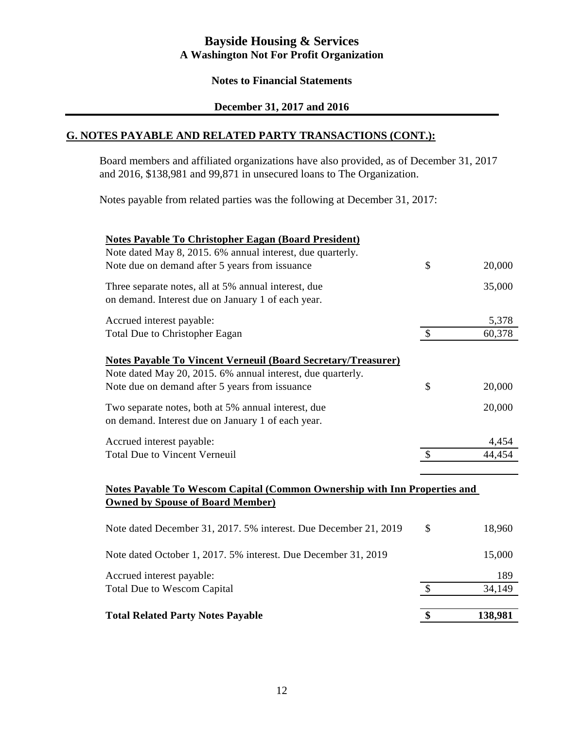#### **Notes to Financial Statements**

# **December 31, 2017 and 2016**

# **G. NOTES PAYABLE AND RELATED PARTY TRANSACTIONS (CONT.):**

Board members and affiliated organizations have also provided, as of December 31, 2017 and 2016, \$138,981 and 99,871 in unsecured loans to The Organization.

Notes payable from related parties was the following at December 31, 2017:

| <b>Notes Payable To Christopher Eagan (Board President)</b>                      |                           |         |
|----------------------------------------------------------------------------------|---------------------------|---------|
| Note dated May 8, 2015. 6% annual interest, due quarterly.                       |                           |         |
| Note due on demand after 5 years from issuance                                   | \$                        | 20,000  |
| Three separate notes, all at 5% annual interest, due                             |                           | 35,000  |
| on demand. Interest due on January 1 of each year.                               |                           |         |
| Accrued interest payable:                                                        |                           | 5,378   |
| <b>Total Due to Christopher Eagan</b>                                            | $\boldsymbol{\mathsf{S}}$ | 60,378  |
| <b>Notes Payable To Vincent Verneuil (Board Secretary/Treasurer)</b>             |                           |         |
| Note dated May 20, 2015. 6% annual interest, due quarterly.                      |                           |         |
| Note due on demand after 5 years from issuance                                   | \$                        | 20,000  |
| Two separate notes, both at 5% annual interest, due                              |                           | 20,000  |
| on demand. Interest due on January 1 of each year.                               |                           |         |
| Accrued interest payable:                                                        |                           | 4,454   |
| <b>Total Due to Vincent Verneuil</b>                                             | $\boldsymbol{\mathsf{S}}$ | 44,454  |
| <b>Notes Payable To Wescom Capital (Common Ownership with Inn Properties and</b> |                           |         |
| <b>Owned by Spouse of Board Member)</b>                                          |                           |         |
| Note dated December 31, 2017. 5% interest. Due December 21, 2019                 | $\mathcal{S}$             | 18,960  |
| Note dated October 1, 2017. 5% interest. Due December 31, 2019                   |                           | 15,000  |
| Accrued interest payable:                                                        |                           | 189     |
| <b>Total Due to Wescom Capital</b>                                               | $\mathcal{S}$             | 34,149  |
| <b>Total Related Party Notes Payable</b>                                         | \$                        | 138,981 |